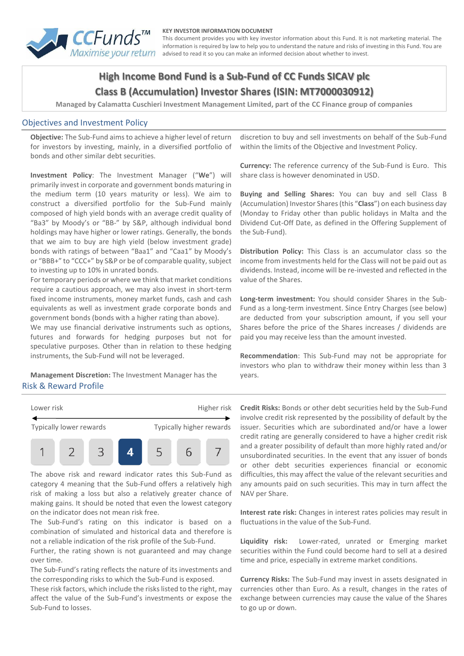

#### **KEY INVESTOR INFORMATION DOCUMENT**

This document provides you with key investor information about this Fund. It is not marketing material. The information is required by law to help you to understand the nature and risks of investing in this Fund. You are advised to read it so you can make an informed decision about whether to invest.

# **High Income Bond Fund is a Sub-Fund of CC Funds SICAV plc Class B (Accumulation) Investor Shares (ISIN: MT7000030912)**

**Managed by Calamatta Cuschieri Investment Management Limited, part of the CC Finance group of companies**

#### Objectives and Investment Policy

**Objective:** The Sub-Fund aims to achieve a higher level of return for investors by investing, mainly, in a diversified portfolio of bonds and other similar debt securities.

**Investment Policy**: The Investment Manager ("**We**") will primarily invest in corporate and government bonds maturing in the medium term (10 years maturity or less). We aim to construct a diversified portfolio for the Sub-Fund mainly composed of high yield bonds with an average credit quality of "Ba3" by Moody's or "BB-" by S&P, although individual bond holdings may have higher or lower ratings. Generally, the bonds that we aim to buy are high yield (below investment grade) bonds with ratings of between "Baa1" and "Caa1" by Moody's or "BBB+" to "CCC+" by S&P or be of comparable quality, subject to investing up to 10% in unrated bonds.

For temporary periods or where we think that market conditions require a cautious approach, we may also invest in short-term fixed income instruments, money market funds, cash and cash equivalents as well as investment grade corporate bonds and government bonds (bonds with a higher rating than above).

We may use financial derivative instruments such as options, futures and forwards for hedging purposes but not for speculative purposes. Other than in relation to these hedging instruments, the Sub-Fund will not be leveraged.

**Management Discretion:** The Investment Manager has the Risk & Reward Profile

discretion to buy and sell investments on behalf of the Sub-Fund within the limits of the Objective and Investment Policy.

**Currency:** The reference currency of the Sub-Fund is Euro. This share class is however denominated in USD.

**Buying and Selling Shares:** You can buy and sell Class B (Accumulation) Investor Shares (this "**Class**") on each business day (Monday to Friday other than public holidays in Malta and the Dividend Cut-Off Date, as defined in the Offering Supplement of the Sub-Fund).

**Distribution Policy:** This Class is an accumulator class so the income from investments held for the Class will not be paid out as dividends. Instead, income will be re-invested and reflected in the value of the Shares.

**Long-term investment:** You should consider Shares in the Sub-Fund as a long-term investment. Since Entry Charges (see below) are deducted from your subscription amount, if you sell your Shares before the price of the Shares increases / dividends are paid you may receive less than the amount invested.

**Recommendation**: This Sub-Fund may not be appropriate for investors who plan to withdraw their money within less than 3 years.



The above risk and reward indicator rates this Sub-Fund as category 4 meaning that the Sub-Fund offers a relatively high risk of making a loss but also a relatively greater chance of making gains. It should be noted that even the lowest category on the indicator does not mean risk free.

The Sub-Fund's rating on this indicator is based on a combination of simulated and historical data and therefore is not a reliable indication of the risk profile of the Sub-Fund.

Further, the rating shown is not guaranteed and may change over time.

The Sub-Fund's rating reflects the nature of its investments and the corresponding risks to which the Sub-Fund is exposed.

These risk factors, which include the risks listed to the right, may affect the value of the Sub-Fund's investments or expose the Sub-Fund to losses.

**Credit Risks:** Bonds or other debt securities held by the Sub-Fund involve credit risk represented by the possibility of default by the issuer. Securities which are subordinated and/or have a lower credit rating are generally considered to have a higher credit risk and a greater possibility of default than more highly rated and/or unsubordinated securities. In the event that any issuer of bonds or other debt securities experiences financial or economic difficulties, this may affect the value of the relevant securities and any amounts paid on such securities. This may in turn affect the NAV per Share.

**Interest rate risk:** Changes in interest rates policies may result in fluctuations in the value of the Sub-Fund.

**Liquidity risk:** Lower-rated, unrated or Emerging market securities within the Fund could become hard to sell at a desired time and price, especially in extreme market conditions.

**Currency Risks:** The Sub-Fund may invest in assets designated in currencies other than Euro. As a result, changes in the rates of exchange between currencies may cause the value of the Shares to go up or down.